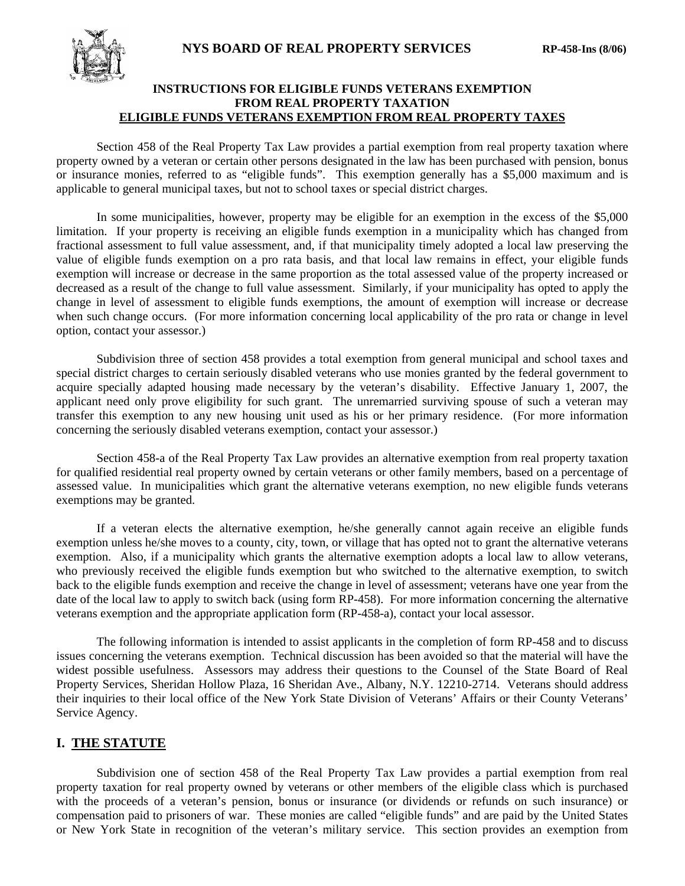

# **INSTRUCTIONS FOR ELIGIBLE FUNDS VETERANS EXEMPTION FROM REAL PROPERTY TAXATION ELIGIBLE FUNDS VETERANS EXEMPTION FROM REAL PROPERTY TAXES**

Section 458 of the Real Property Tax Law provides a partial exemption from real property taxation where property owned by a veteran or certain other persons designated in the law has been purchased with pension, bonus or insurance monies, referred to as "eligible funds". This exemption generally has a \$5,000 maximum and is applicable to general municipal taxes, but not to school taxes or special district charges.

In some municipalities, however, property may be eligible for an exemption in the excess of the \$5,000 limitation. If your property is receiving an eligible funds exemption in a municipality which has changed from fractional assessment to full value assessment, and, if that municipality timely adopted a local law preserving the value of eligible funds exemption on a pro rata basis, and that local law remains in effect, your eligible funds exemption will increase or decrease in the same proportion as the total assessed value of the property increased or decreased as a result of the change to full value assessment. Similarly, if your municipality has opted to apply the change in level of assessment to eligible funds exemptions, the amount of exemption will increase or decrease when such change occurs. (For more information concerning local applicability of the pro rata or change in level option, contact your assessor.)

Subdivision three of section 458 provides a total exemption from general municipal and school taxes and special district charges to certain seriously disabled veterans who use monies granted by the federal government to acquire specially adapted housing made necessary by the veteran's disability. Effective January 1, 2007, the applicant need only prove eligibility for such grant. The unremarried surviving spouse of such a veteran may transfer this exemption to any new housing unit used as his or her primary residence. (For more information concerning the seriously disabled veterans exemption, contact your assessor.)

Section 458-a of the Real Property Tax Law provides an alternative exemption from real property taxation for qualified residential real property owned by certain veterans or other family members, based on a percentage of assessed value. In municipalities which grant the alternative veterans exemption, no new eligible funds veterans exemptions may be granted.

If a veteran elects the alternative exemption, he/she generally cannot again receive an eligible funds exemption unless he/she moves to a county, city, town, or village that has opted not to grant the alternative veterans exemption. Also, if a municipality which grants the alternative exemption adopts a local law to allow veterans, who previously received the eligible funds exemption but who switched to the alternative exemption, to switch back to the eligible funds exemption and receive the change in level of assessment; veterans have one year from the date of the local law to apply to switch back (using form RP-458). For more information concerning the alternative veterans exemption and the appropriate application form (RP-458-a), contact your local assessor.

The following information is intended to assist applicants in the completion of form RP-458 and to discuss issues concerning the veterans exemption. Technical discussion has been avoided so that the material will have the widest possible usefulness. Assessors may address their questions to the Counsel of the State Board of Real Property Services, Sheridan Hollow Plaza, 16 Sheridan Ave., Albany, N.Y. 12210-2714. Veterans should address their inquiries to their local office of the New York State Division of Veterans' Affairs or their County Veterans' Service Agency.

# **I. THE STATUTE**

Subdivision one of section 458 of the Real Property Tax Law provides a partial exemption from real property taxation for real property owned by veterans or other members of the eligible class which is purchased with the proceeds of a veteran's pension, bonus or insurance (or dividends or refunds on such insurance) or compensation paid to prisoners of war. These monies are called "eligible funds" and are paid by the United States or New York State in recognition of the veteran's military service. This section provides an exemption from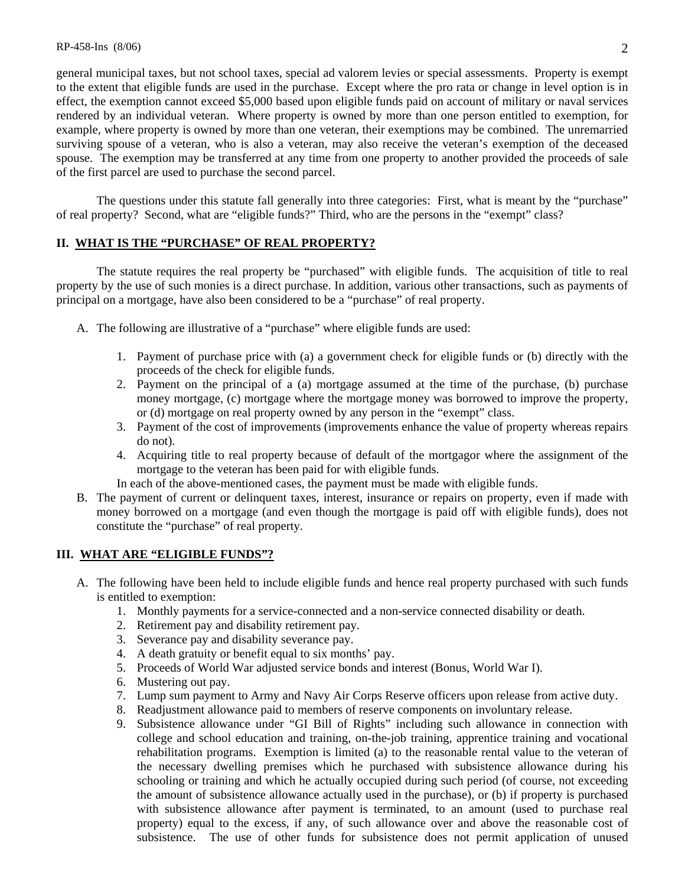general municipal taxes, but not school taxes, special ad valorem levies or special assessments. Property is exempt to the extent that eligible funds are used in the purchase. Except where the pro rata or change in level option is in effect, the exemption cannot exceed \$5,000 based upon eligible funds paid on account of military or naval services rendered by an individual veteran. Where property is owned by more than one person entitled to exemption, for example, where property is owned by more than one veteran, their exemptions may be combined. The unremarried surviving spouse of a veteran, who is also a veteran, may also receive the veteran's exemption of the deceased spouse. The exemption may be transferred at any time from one property to another provided the proceeds of sale of the first parcel are used to purchase the second parcel.

The questions under this statute fall generally into three categories: First, what is meant by the "purchase" of real property? Second, what are "eligible funds?" Third, who are the persons in the "exempt" class?

### **II. WHAT IS THE "PURCHASE" OF REAL PROPERTY?**

 The statute requires the real property be "purchased" with eligible funds. The acquisition of title to real property by the use of such monies is a direct purchase. In addition, various other transactions, such as payments of principal on a mortgage, have also been considered to be a "purchase" of real property.

- A. The following are illustrative of a "purchase" where eligible funds are used:
	- 1. Payment of purchase price with (a) a government check for eligible funds or (b) directly with the proceeds of the check for eligible funds.
	- 2. Payment on the principal of a (a) mortgage assumed at the time of the purchase, (b) purchase money mortgage, (c) mortgage where the mortgage money was borrowed to improve the property, or (d) mortgage on real property owned by any person in the "exempt" class.
	- 3. Payment of the cost of improvements (improvements enhance the value of property whereas repairs do not).
	- 4. Acquiring title to real property because of default of the mortgagor where the assignment of the mortgage to the veteran has been paid for with eligible funds.
	- In each of the above-mentioned cases, the payment must be made with eligible funds.
- B. The payment of current or delinquent taxes, interest, insurance or repairs on property, even if made with money borrowed on a mortgage (and even though the mortgage is paid off with eligible funds), does not constitute the "purchase" of real property.

### **III. WHAT ARE "ELIGIBLE FUNDS"?**

- A. The following have been held to include eligible funds and hence real property purchased with such funds is entitled to exemption:
	- 1. Monthly payments for a service-connected and a non-service connected disability or death.
	- 2. Retirement pay and disability retirement pay.
	- 3. Severance pay and disability severance pay.
	- 4. A death gratuity or benefit equal to six months' pay.
	- 5. Proceeds of World War adjusted service bonds and interest (Bonus, World War I).
	- 6. Mustering out pay.
	- 7. Lump sum payment to Army and Navy Air Corps Reserve officers upon release from active duty.
	- 8. Readjustment allowance paid to members of reserve components on involuntary release.
	- 9. Subsistence allowance under "GI Bill of Rights" including such allowance in connection with college and school education and training, on-the-job training, apprentice training and vocational rehabilitation programs. Exemption is limited (a) to the reasonable rental value to the veteran of the necessary dwelling premises which he purchased with subsistence allowance during his schooling or training and which he actually occupied during such period (of course, not exceeding the amount of subsistence allowance actually used in the purchase), or (b) if property is purchased with subsistence allowance after payment is terminated, to an amount (used to purchase real property) equal to the excess, if any, of such allowance over and above the reasonable cost of subsistence. The use of other funds for subsistence does not permit application of unused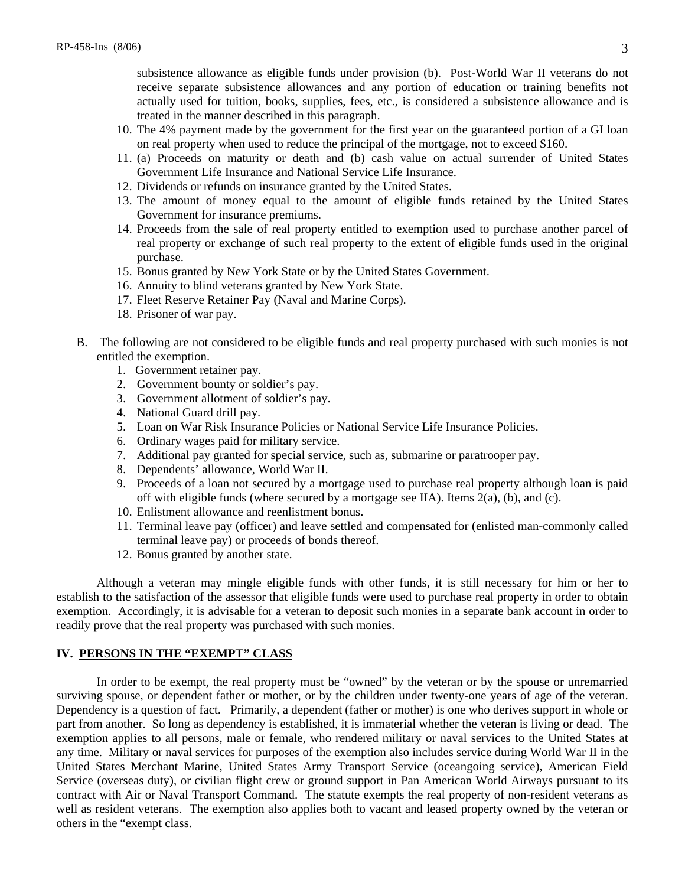subsistence allowance as eligible funds under provision (b). Post-World War II veterans do not receive separate subsistence allowances and any portion of education or training benefits not actually used for tuition, books, supplies, fees, etc., is considered a subsistence allowance and is treated in the manner described in this paragraph.

- 10. The 4% payment made by the government for the first year on the guaranteed portion of a GI loan on real property when used to reduce the principal of the mortgage, not to exceed \$160.
- 11. (a) Proceeds on maturity or death and (b) cash value on actual surrender of United States Government Life Insurance and National Service Life Insurance.
- 12. Dividends or refunds on insurance granted by the United States.
- 13. The amount of money equal to the amount of eligible funds retained by the United States Government for insurance premiums.
- 14. Proceeds from the sale of real property entitled to exemption used to purchase another parcel of real property or exchange of such real property to the extent of eligible funds used in the original purchase.
- 15. Bonus granted by New York State or by the United States Government.
- 16. Annuity to blind veterans granted by New York State.
- 17. Fleet Reserve Retainer Pay (Naval and Marine Corps).
- 18. Prisoner of war pay.
- B. The following are not considered to be eligible funds and real property purchased with such monies is not entitled the exemption.
	- 1. Government retainer pay.
	- 2. Government bounty or soldier's pay.
	- 3. Government allotment of soldier's pay.
	- 4. National Guard drill pay.
	- 5. Loan on War Risk Insurance Policies or National Service Life Insurance Policies.
	- 6. Ordinary wages paid for military service.
	- 7. Additional pay granted for special service, such as, submarine or paratrooper pay.
	- 8. Dependents' allowance, World War II.
	- 9. Proceeds of a loan not secured by a mortgage used to purchase real property although loan is paid off with eligible funds (where secured by a mortgage see IIA). Items 2(a), (b), and (c).
	- 10. Enlistment allowance and reenlistment bonus.
	- 11. Terminal leave pay (officer) and leave settled and compensated for (enlisted man-commonly called terminal leave pay) or proceeds of bonds thereof.
	- 12. Bonus granted by another state.

Although a veteran may mingle eligible funds with other funds, it is still necessary for him or her to establish to the satisfaction of the assessor that eligible funds were used to purchase real property in order to obtain exemption. Accordingly, it is advisable for a veteran to deposit such monies in a separate bank account in order to readily prove that the real property was purchased with such monies.

# **IV. PERSONS IN THE "EXEMPT" CLASS**

In order to be exempt, the real property must be "owned" by the veteran or by the spouse or unremarried surviving spouse, or dependent father or mother, or by the children under twenty-one years of age of the veteran. Dependency is a question of fact. Primarily, a dependent (father or mother) is one who derives support in whole or part from another. So long as dependency is established, it is immaterial whether the veteran is living or dead. The exemption applies to all persons, male or female, who rendered military or naval services to the United States at any time. Military or naval services for purposes of the exemption also includes service during World War II in the United States Merchant Marine, United States Army Transport Service (oceangoing service), American Field Service (overseas duty), or civilian flight crew or ground support in Pan American World Airways pursuant to its contract with Air or Naval Transport Command. The statute exempts the real property of non-resident veterans as well as resident veterans. The exemption also applies both to vacant and leased property owned by the veteran or others in the "exempt class.